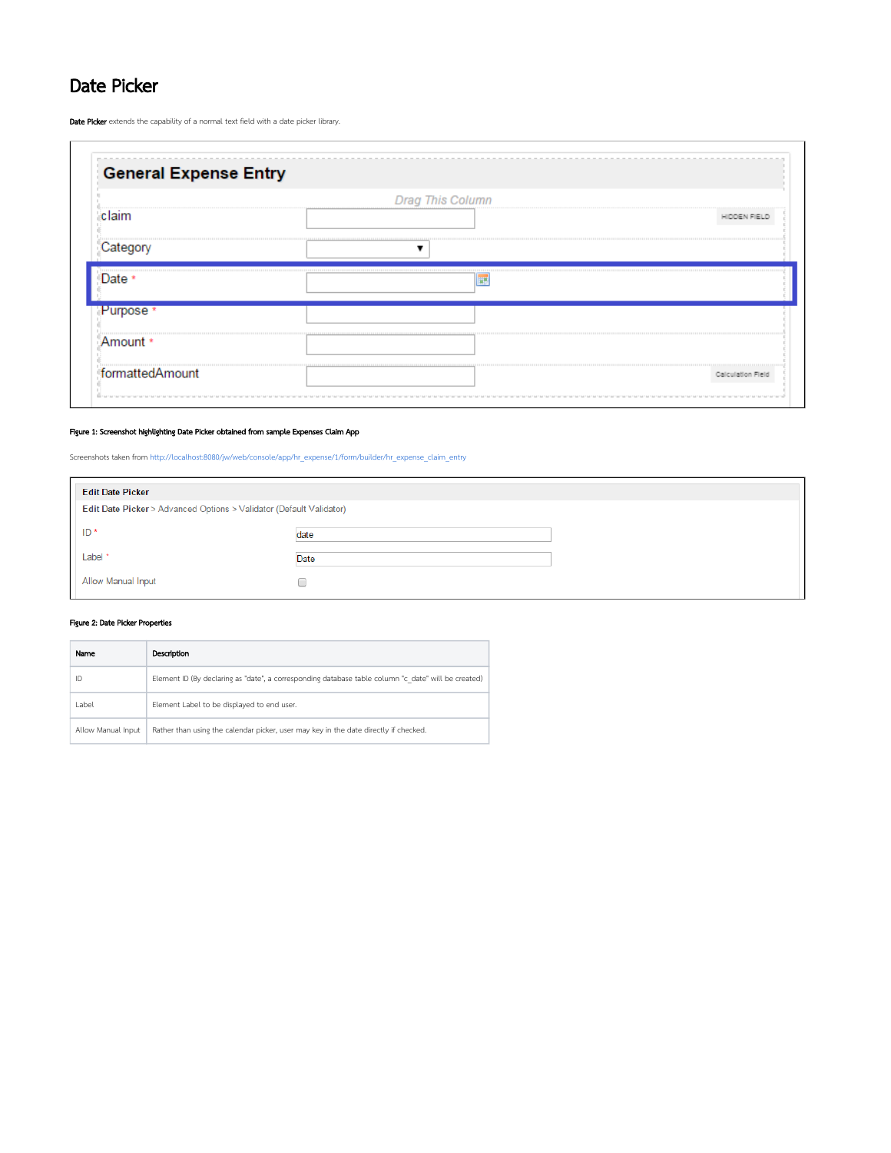## Date Picker

Date Picker extends the capability of a normal text field with a date picker library.

| <b>General Expense Entry</b> |                         |                   |
|------------------------------|-------------------------|-------------------|
|                              | <b>Drag This Column</b> |                   |
| claim                        |                         |                   |
| Category                     |                         |                   |
| <br>Date *                   | ₩                       |                   |
| Purpose <sup>*</sup>         |                         |                   |
| Amount *                     |                         |                   |
| formattedAmount              |                         | Calculation Field |

## Figure 1: Screenshot highlighting Date Picker obtained from sample Expenses Claim App

Screenshots taken from [http://localhost:8080/jw/web/console/app/hr\\_expense/1/form/builder/hr\\_expense\\_claim\\_entry](http://localhost:8080/jw/web/console/app/hr_expense/1/form/builder/hr_expense_claim_entry)

| <b>Edit Date Picker</b>                                             |      |  |
|---------------------------------------------------------------------|------|--|
| Edit Date Picker > Advanced Options > Validator (Default Validator) |      |  |
| ID*                                                                 | date |  |
| Label*                                                              | Date |  |
| Allow Manual Input                                                  |      |  |

## Figure 2: Date Picker Properties

| Name               | Description                                                                                         |
|--------------------|-----------------------------------------------------------------------------------------------------|
| ID                 | Element ID (By declaring as "date", a corresponding database table column "c date" will be created) |
| Label              | Element Label to be displayed to end user.                                                          |
| Allow Manual Input | Rather than using the calendar picker, user may key in the date directly if checked.                |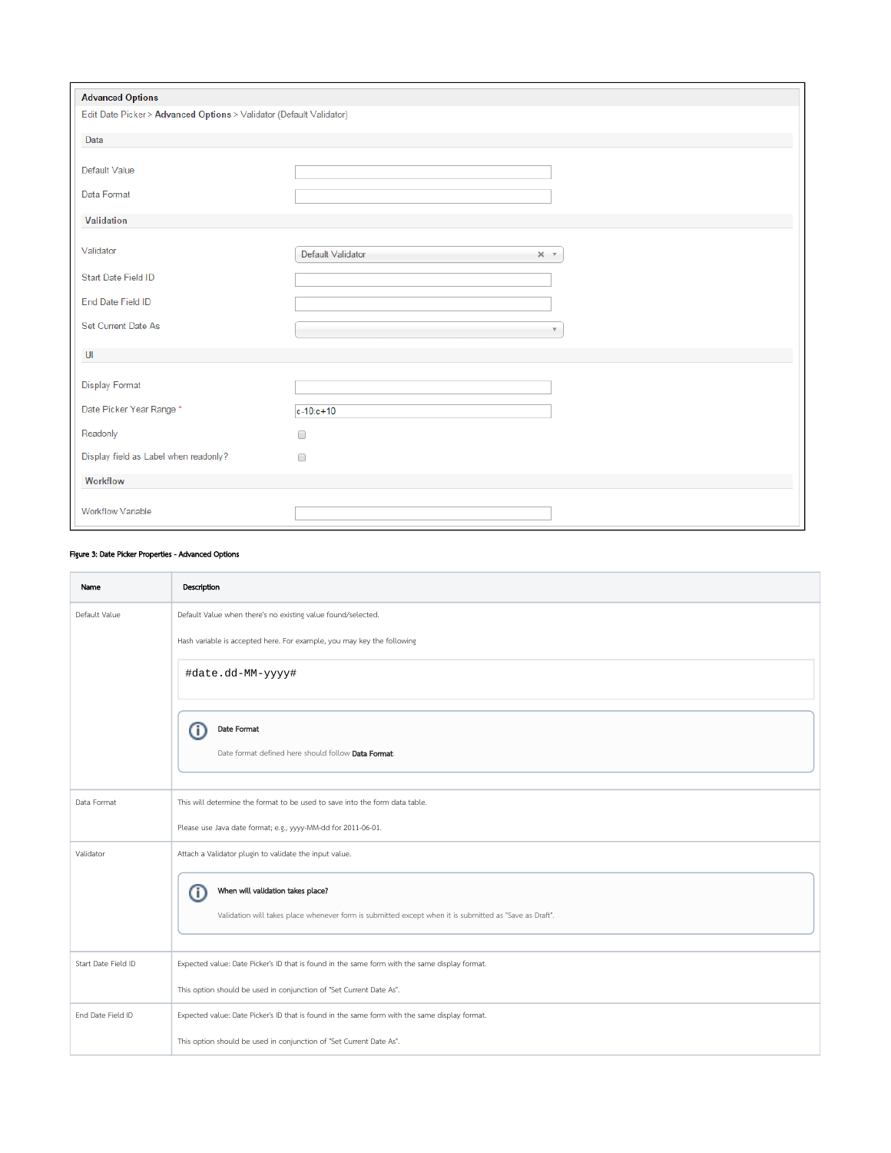| <b>Advanced Options</b>                                             |                                        |
|---------------------------------------------------------------------|----------------------------------------|
| Edit Date Picker > Advanced Options > Validator (Default Validator) |                                        |
| Data                                                                |                                        |
| Default Value                                                       |                                        |
| Data Format                                                         |                                        |
| Validation                                                          |                                        |
| Validator                                                           | Default Validator<br>$\times$ $\times$ |
| Start Date Field ID                                                 |                                        |
| End Date Field ID                                                   |                                        |
| Set Current Date As                                                 | $\overline{\mathbf{v}}$                |
| $\mathsf{U}$                                                        |                                        |
| <b>Display Format</b>                                               |                                        |
| Date Picker Year Range *                                            | $c - 10$ : $c + 10$                    |
| Readonly                                                            | $\Box$                                 |
| Display field as Label when readonly?                               | $\Box$                                 |
| Workflow                                                            |                                        |
| <b>Workflow Variable</b>                                            |                                        |

## Figure 3: Date Picker Properties - Advanced Options

| Name                | Description                                                                                            |
|---------------------|--------------------------------------------------------------------------------------------------------|
| Default Value       | Default Value when there's no existing value found/selected.                                           |
|                     | Hash variable is accepted here. For example, you may key the following                                 |
|                     | #date.dd-MM-yyyy#                                                                                      |
|                     | Date Format<br>Œ<br>Date format defined here should follow Data Format.                                |
|                     |                                                                                                        |
| Data Format         | This will determine the format to be used to save into the form data table.                            |
|                     | Please use Java date format; e.g., yyyy-MM-dd for 2011-06-01.                                          |
| Validator           | Attach a Validator plugin to validate the input value.                                                 |
|                     | When will validation takes place?<br>Œ                                                                 |
|                     | Validation will takes place whenever form is submitted except when it is submitted as "Save as Draft". |
| Start Date Field ID | Expected value: Date Picker's ID that is found in the same form with the same display format.          |
|                     | This option should be used in conjunction of "Set Current Date As".                                    |
| End Date Field ID   | Expected value: Date Picker's ID that is found in the same form with the same display format.          |
|                     | This option should be used in conjunction of "Set Current Date As".                                    |